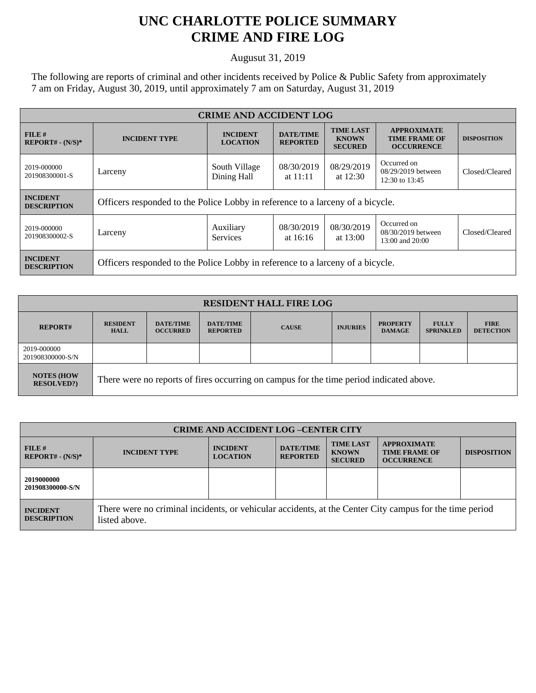## **UNC CHARLOTTE POLICE SUMMARY CRIME AND FIRE LOG**

Augusut 31, 2019

The following are reports of criminal and other incidents received by Police & Public Safety from approximately 7 am on Friday, August 30, 2019, until approximately 7 am on Saturday, August 31, 2019

| <b>CRIME AND ACCIDENT LOG</b>         |                                                                                |                                    |                                     |                                                    |                                                                 |                    |
|---------------------------------------|--------------------------------------------------------------------------------|------------------------------------|-------------------------------------|----------------------------------------------------|-----------------------------------------------------------------|--------------------|
| FILE#<br>$REPORT# - (N/S)*$           | <b>INCIDENT TYPE</b>                                                           | <b>INCIDENT</b><br><b>LOCATION</b> | <b>DATE/TIME</b><br><b>REPORTED</b> | <b>TIME LAST</b><br><b>KNOWN</b><br><b>SECURED</b> | <b>APPROXIMATE</b><br><b>TIME FRAME OF</b><br><b>OCCURRENCE</b> | <b>DISPOSITION</b> |
| 2019-000000<br>201908300001-S         | Larceny                                                                        | South Village<br>Dining Hall       | 08/30/2019<br>at $11:11$            | 08/29/2019<br>at 12:30                             | Occurred on<br>08/29/2019 between<br>12:30 to 13:45             | Closed/Cleared     |
| <b>INCIDENT</b><br><b>DESCRIPTION</b> | Officers responded to the Police Lobby in reference to a larceny of a bicycle. |                                    |                                     |                                                    |                                                                 |                    |
| 2019-000000<br>201908300002-S         | Larceny                                                                        | Auxiliary<br><b>Services</b>       | 08/30/2019<br>at $16:16$            | 08/30/2019<br>at 13:00                             | Occurred on<br>08/30/2019 between<br>13:00 and 20:00            | Closed/Cleared     |
| <b>INCIDENT</b><br><b>DESCRIPTION</b> | Officers responded to the Police Lobby in reference to a larceny of a bicycle. |                                    |                                     |                                                    |                                                                 |                    |

| <b>RESIDENT HALL FIRE LOG</b>         |                                                                                         |                                     |                                     |              |                 |                                  |                                  |                                 |
|---------------------------------------|-----------------------------------------------------------------------------------------|-------------------------------------|-------------------------------------|--------------|-----------------|----------------------------------|----------------------------------|---------------------------------|
| <b>REPORT#</b>                        | <b>RESIDENT</b><br><b>HALL</b>                                                          | <b>DATE/TIME</b><br><b>OCCURRED</b> | <b>DATE/TIME</b><br><b>REPORTED</b> | <b>CAUSE</b> | <b>INJURIES</b> | <b>PROPERTY</b><br><b>DAMAGE</b> | <b>FULLY</b><br><b>SPRINKLED</b> | <b>FIRE</b><br><b>DETECTION</b> |
| 2019-000000<br>201908300000-S/N       |                                                                                         |                                     |                                     |              |                 |                                  |                                  |                                 |
| <b>NOTES (HOW</b><br><b>RESOLVED?</b> | There were no reports of fires occurring on campus for the time period indicated above. |                                     |                                     |              |                 |                                  |                                  |                                 |

| <b>CRIME AND ACCIDENT LOG-CENTER CITY</b> |                                                                                                                          |                                    |                                     |                                                    |                                                                 |                    |
|-------------------------------------------|--------------------------------------------------------------------------------------------------------------------------|------------------------------------|-------------------------------------|----------------------------------------------------|-----------------------------------------------------------------|--------------------|
| FILE H<br>$REPORT# - (N/S)*$              | <b>INCIDENT TYPE</b>                                                                                                     | <b>INCIDENT</b><br><b>LOCATION</b> | <b>DATE/TIME</b><br><b>REPORTED</b> | <b>TIME LAST</b><br><b>KNOWN</b><br><b>SECURED</b> | <b>APPROXIMATE</b><br><b>TIME FRAME OF</b><br><b>OCCURRENCE</b> | <b>DISPOSITION</b> |
| 2019000000<br>201908300000-S/N            |                                                                                                                          |                                    |                                     |                                                    |                                                                 |                    |
| <b>INCIDENT</b><br><b>DESCRIPTION</b>     | There were no criminal incidents, or vehicular accidents, at the Center City campus for the time period<br>listed above. |                                    |                                     |                                                    |                                                                 |                    |